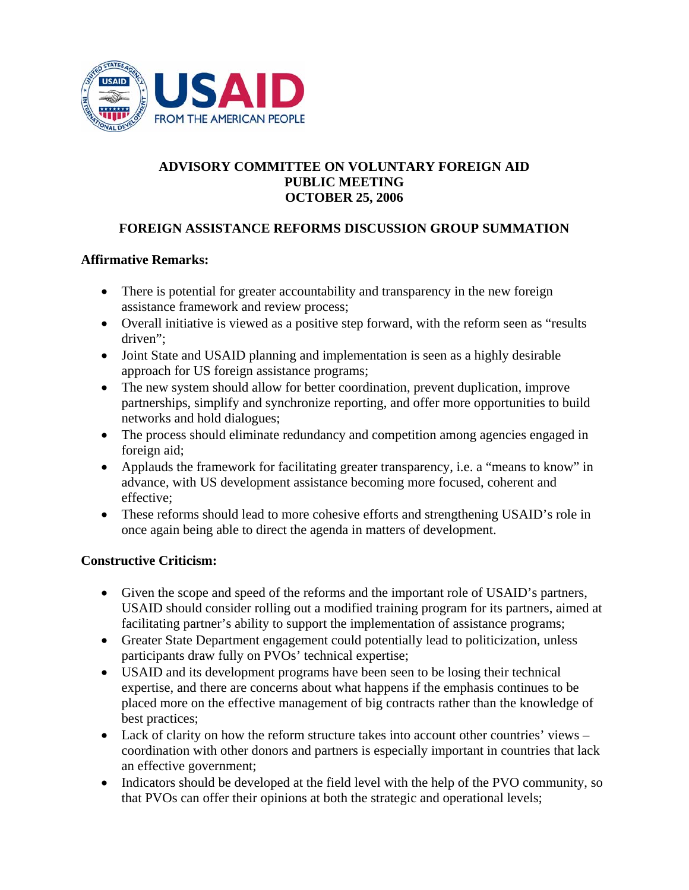

## **ADVISORY COMMITTEE ON VOLUNTARY FOREIGN AID PUBLIC MEETING OCTOBER 25, 2006**

# **FOREIGN ASSISTANCE REFORMS DISCUSSION GROUP SUMMATION**

#### **Affirmative Remarks:**

- There is potential for greater accountability and transparency in the new foreign assistance framework and review process;
- Overall initiative is viewed as a positive step forward, with the reform seen as "results" driven";
- Joint State and USAID planning and implementation is seen as a highly desirable approach for US foreign assistance programs;
- The new system should allow for better coordination, prevent duplication, improve partnerships, simplify and synchronize reporting, and offer more opportunities to build networks and hold dialogues;
- The process should eliminate redundancy and competition among agencies engaged in foreign aid;
- Applauds the framework for facilitating greater transparency, i.e. a "means to know" in advance, with US development assistance becoming more focused, coherent and effective;
- These reforms should lead to more cohesive efforts and strengthening USAID's role in once again being able to direct the agenda in matters of development.

#### **Constructive Criticism:**

- Given the scope and speed of the reforms and the important role of USAID's partners, USAID should consider rolling out a modified training program for its partners, aimed at facilitating partner's ability to support the implementation of assistance programs;
- Greater State Department engagement could potentially lead to politicization, unless participants draw fully on PVOs' technical expertise;
- USAID and its development programs have been seen to be losing their technical expertise, and there are concerns about what happens if the emphasis continues to be placed more on the effective management of big contracts rather than the knowledge of best practices;
- Lack of clarity on how the reform structure takes into account other countries' views coordination with other donors and partners is especially important in countries that lack an effective government;
- Indicators should be developed at the field level with the help of the PVO community, so that PVOs can offer their opinions at both the strategic and operational levels;